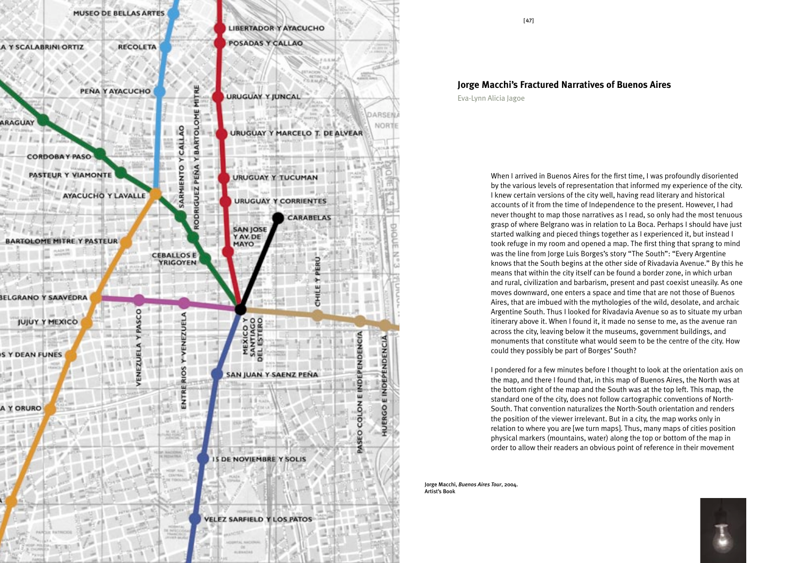

 $[47]$ 

## **Jorge Macchi's Fractured Narratives of Buenos Aires**

Eva-Lynn Alicia Jagoe

When I arrived in Buenos Aires for the first time, I was profoundly disoriented by the various levels of representation that informed my experience of the city. I knew certain versions of the city well, having read literary and historical accounts of it from the time of Independence to the present. However, I had never thought to map those narratives as I read, so only had the most tenuous grasp of where Belgrano was in relation to La Boca. Perhaps I should have just started walking and pieced things together as I experienced it, but instead I took refuge in my room and opened a map. The first thing that sprang to mind was the line from Jorge Luis Borges's story "The South": "Every Argentine knows that the South begins at the other side of Rivadavia Avenue." By this he means that within the city itself can be found a border zone, in which urban and rural, civilization and barbarism, present and past coexist uneasily. As one moves downward, one enters a space and time that are not those of Buenos Aires, that are imbued with the mythologies of the wild, desolate, and archaic Argentine South. Thus I looked for Rivadavia Avenue so as to situate my urban itinerary above it. When I found it, it made no sense to me, as the avenue ran across the city, leaving below it the museums, government buildings, and monuments that constitute what would seem to be the centre of the city. How could they possibly be part of Borges' South?

I pondered for a few minutes before I thought to look at the orientation axis on the map, and there I found that, in this map of Buenos Aires, the North was at the bottom right of the map and the South was at the top left. This map, the standard one of the city, does not follow cartographic conventions of North-South. That convention naturalizes the North-South orientation and renders the position of the viewer irrelevant. But in a city, the map works only in relation to where you are [we turn maps]. Thus, many maps of cities position physical markers (mountains, water) along the top or bottom of the map in order to allow their readers an obvious point of reference in their movement

lorge Macchi, Buenos Aires Tour, 2004. **Artist's Book** 

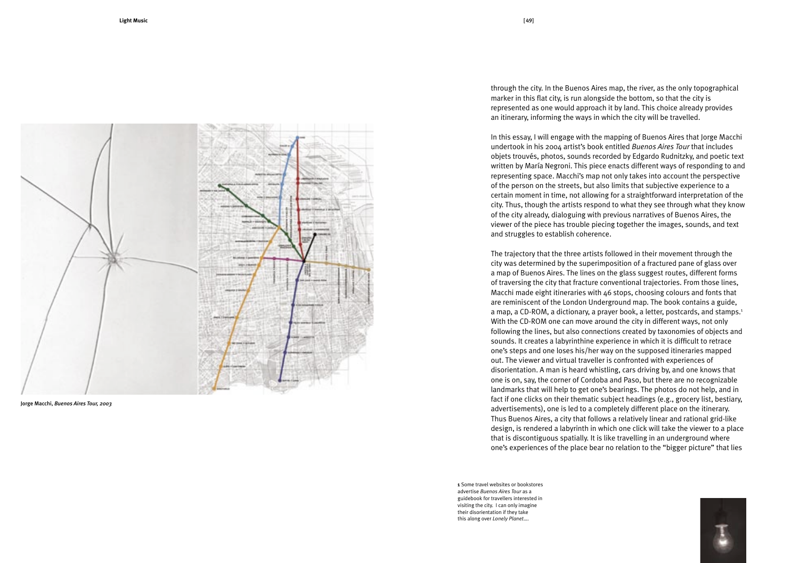

Jorge Macchi, Buenos Aires Tour, 2003

through the city. In the Buenos Aires map, the river, as the only topographical marker in this flat city, is run alongside the bottom, so that the city is represented as one would approach it by land. This choice already provides an itinerary, informing the ways in which the city will be travelled.

In this essay, I will engage with the mapping of Buenos Aires that Jorge Macchi undertook in his 2004 artist's book entitled Buenos Aires Tour that includes objets trouvés, photos, sounds recorded by Edgardo Rudnitzky, and poetic text written by María Negroni. This piece enacts different ways of responding to and representing space. Macchi's map not only takes into account the perspective of the person on the streets, but also limits that subjective experience to a certain moment in time, not allowing for a straightforward interpretation of the city. Thus, though the artists respond to what they see through what they know of the city already, dialoguing with previous narratives of Buenos Aires, the viewer of the piece has trouble piecing together the images, sounds, and text and struggles to establish coherence.

The trajectory that the three artists followed in their movement through the city was determined by the superimposition of a fractured pane of glass over a map of Buenos Aires. The lines on the glass suggest routes, different forms of traversing the city that fracture conventional trajectories. From those lines, Macchi made eight itineraries with 46 stops, choosing colours and fonts that are reminiscent of the London Underground map. The book contains a guide, a map, a CD-ROM, a dictionary, a prayer book, a letter, postcards, and stamps.<sup>1</sup> With the CD-ROM one can move around the city in different ways, not only following the lines, but also connections created by taxonomies of objects and sounds. It creates a labyrinthine experience in which it is difficult to retrace one's steps and one loses his/her way on the supposed itineraries mapped out. The viewer and virtual traveller is confronted with experiences of disorientation. A man is heard whistling, cars driving by, and one knows that one is on, say, the corner of Cordoba and Paso, but there are no recognizable landmarks that will help to get one's bearings. The photos do not help, and in fact if one clicks on their thematic subject headings (e.g., grocery list, bestiary, advertisements), one is led to a completely different place on the itinerary. Thus Buenos Aires, a city that follows a relatively linear and rational grid-like design, is rendered a labyrinth in which one click will take the viewer to a place that is discontiguous spatially. It is like travelling in an underground where one's experiences of the place bear no relation to the "bigger picture" that lies

1 Some travel websites or bookstores advertise Buenos Aires Tour as a guidebook for travellers interested in visiting the city. I can only imagine their disorientation if they take this along over Lonely Planet....

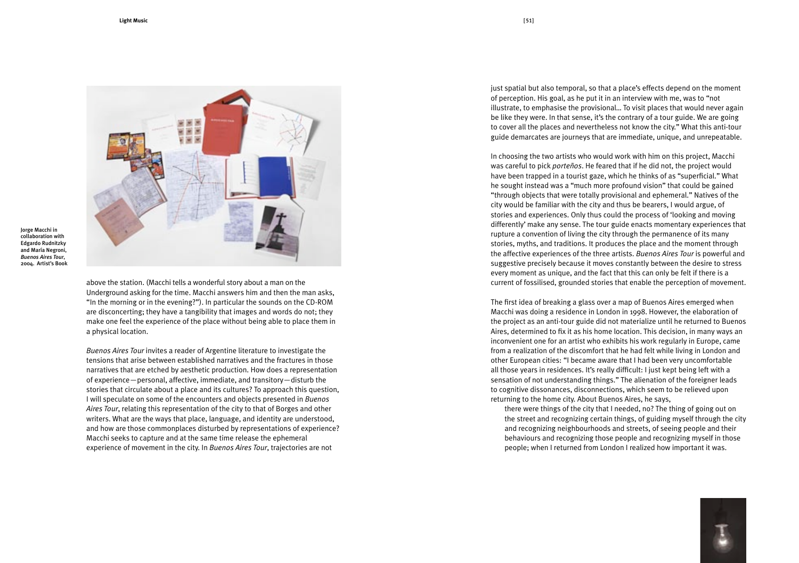

Jorge Macchi in collaboration with **Edgardo Rudnitzky** and María Negroni. **Buenos Aires Tour,** 2004. Artist's Book

> above the station. (Macchi tells a wonderful story about a man on the Underground asking for the time. Macchi answers him and then the man asks. "In the morning or in the evening?"). In particular the sounds on the CD-ROM are disconcerting; they have a tangibility that images and words do not; they make one feel the experience of the place without being able to place them in a physical location.

Buenos Aires Tour invites a reader of Argentine literature to investigate the tensions that arise between established narratives and the fractures in those narratives that are etched by aesthetic production. How does a representation of experience - personal, affective, immediate, and transitory - disturb the stories that circulate about a place and its cultures? To approach this question, I will speculate on some of the encounters and objects presented in Buenos Aires Tour, relating this representation of the city to that of Borges and other writers. What are the ways that place, language, and identity are understood, and how are those commonplaces disturbed by representations of experience? Macchi seeks to capture and at the same time release the ephemeral experience of movement in the city. In Buenos Aires Tour, trajectories are not

just spatial but also temporal, so that a place's effects depend on the moment of perception. His goal, as he put it in an interview with me, was to "not illustrate, to emphasise the provisional... To visit places that would never again be like they were. In that sense, it's the contrary of a tour guide. We are going to cover all the places and nevertheless not know the city." What this anti-tour guide demarcates are journeys that are immediate, unique, and unrepeatable.

In choosing the two artists who would work with him on this project, Macchi was careful to pick porteños. He feared that if he did not, the project would have been trapped in a tourist gaze, which he thinks of as "superficial." What he sought instead was a "much more profound vision" that could be gained "through objects that were totally provisional and ephemeral." Natives of the city would be familiar with the city and thus be bearers, I would argue, of stories and experiences. Only thus could the process of 'looking and moving differently' make any sense. The tour guide enacts momentary experiences that rupture a convention of living the city through the permanence of its many stories, myths, and traditions. It produces the place and the moment through the affective experiences of the three artists. Buenos Aires Tour is powerful and suggestive precisely because it moves constantly between the desire to stress every moment as unique, and the fact that this can only be felt if there is a current of fossilised, grounded stories that enable the perception of movement.

The first idea of breaking a glass over a map of Buenos Aires emerged when Macchi was doing a residence in London in 1998. However, the elaboration of the project as an anti-tour guide did not materialize until he returned to Buenos Aires, determined to fix it as his home location. This decision, in many ways an inconvenient one for an artist who exhibits his work regularly in Europe, came from a realization of the discomfort that he had felt while living in London and other European cities: "I became aware that I had been very uncomfortable all those years in residences. It's really difficult: I just kept being left with a sensation of not understanding things." The alienation of the foreigner leads to cognitive dissonances, disconnections, which seem to be relieved upon returning to the home city. About Buenos Aires, he says,

there were things of the city that I needed, no? The thing of going out on the street and recognizing certain things, of guiding myself through the city and recognizing neighbourhoods and streets, of seeing people and their behaviours and recognizing those people and recognizing myself in those people; when I returned from London I realized how important it was.

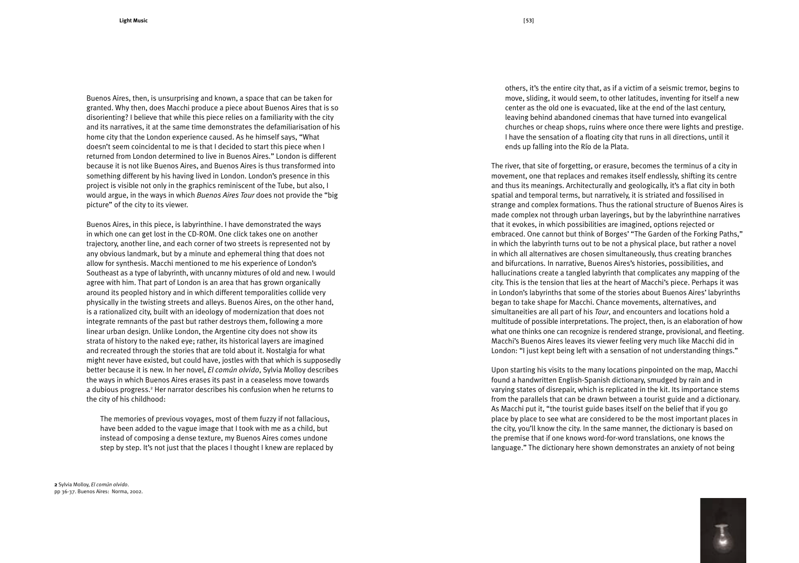Buenos Aires, then, is unsurprising and known, a space that can be taken for granted. Why then, does Macchi produce a piece about Buenos Aires that is so disorienting? I believe that while this piece relies on a familiarity with the city and its narratives, it at the same time demonstrates the defamiliarisation of his home city that the London experience caused. As he himself says, "What doesn't seem coincidental to me is that I decided to start this piece when I returned from London determined to live in Buenos Aires." London is different because it is not like Buenos Aires, and Buenos Aires is thus transformed into something different by his having lived in London. London's presence in this project is visible not only in the graphics reminiscent of the Tube, but also, I would argue, in the ways in which Buenos Aires Tour does not provide the "big picture" of the city to its viewer.

Buenos Aires, in this piece, is labyrinthine. I have demonstrated the ways in which one can get lost in the CD-ROM. One click takes one on another trajectory, another line, and each corner of two streets is represented not by any obvious landmark, but by a minute and ephemeral thing that does not allow for synthesis. Macchi mentioned to me his experience of London's Southeast as a type of labyrinth, with uncanny mixtures of old and new. I would agree with him. That part of London is an area that has grown organically around its peopled history and in which different temporalities collide very physically in the twisting streets and alleys. Buenos Aires, on the other hand, is a rationalized city, built with an ideology of modernization that does not integrate remnants of the past but rather destroys them, following a more linear urban design. Unlike London, the Argentine city does not show its strata of history to the naked eye; rather, its historical layers are imagined and recreated through the stories that are told about it. Nostalgia for what might never have existed, but could have, jostles with that which is supposedly better because it is new. In her novel, *El común olvido*, Sylvia Molloy describes the ways in which Buenos Aires erases its past in a ceaseless move towards a dubious progress.<sup>2</sup> Her narrator describes his confusion when he returns to the city of his childhood:

The memories of previous voyages, most of them fuzzy if not fallacious, have been added to the vague image that I took with me as a child, but instead of composing a dense texture, my Buenos Aires comes undone step by step. It's not just that the places I thought I knew are replaced by

2 Sylvia Molloy, El común olvido. pp 36-37. Buenos Aires: Norma, 2002. others, it's the entire city that, as if a victim of a seismic tremor, begins to move, sliding, it would seem, to other latitudes, inventing for itself a new center as the old one is evacuated, like at the end of the last century, leaving behind abandoned cinemas that have turned into evangelical churches or cheap shops, ruins where once there were lights and prestige. I have the sensation of a floating city that runs in all directions, until it ends up falling into the Río de la Plata.

The river, that site of forgetting, or erasure, becomes the terminus of a city in movement, one that replaces and remakes itself endlessly, shifting its centre and thus its meanings. Architecturally and geologically, it's a flat city in both spatial and temporal terms, but narratively, it is striated and fossilised in strange and complex formations. Thus the rational structure of Buenos Aires is made complex not through urban layerings, but by the labyrinthine narratives that it evokes, in which possibilities are imagined, options rejected or embraced. One cannot but think of Borges' "The Garden of the Forking Paths," in which the labyrinth turns out to be not a physical place, but rather a novel in which all alternatives are chosen simultaneously, thus creating branches and bifurcations. In narrative, Buenos Aires's histories, possibilities, and hallucinations create a tangled labyrinth that complicates any mapping of the city. This is the tension that lies at the heart of Macchi's piece. Perhaps it was in London's labyrinths that some of the stories about Buenos Aires' labyrinths began to take shape for Macchi. Chance movements, alternatives, and simultaneities are all part of his Tour, and encounters and locations hold a multitude of possible interpretations. The project, then, is an elaboration of how what one thinks one can recognize is rendered strange, provisional, and fleeting. Macchi's Buenos Aires leaves its viewer feeling very much like Macchi did in London: "I just kept being left with a sensation of not understanding things."

Upon starting his visits to the many locations pinpointed on the map, Macchi found a handwritten English-Spanish dictionary, smudged by rain and in varying states of disrepair, which is replicated in the kit. Its importance stems from the parallels that can be drawn between a tourist guide and a dictionary. As Macchi put it, "the tourist guide bases itself on the belief that if you go place by place to see what are considered to be the most important places in the city, you'll know the city. In the same manner, the dictionary is based on the premise that if one knows word-for-word translations, one knows the language." The dictionary here shown demonstrates an anxiety of not being

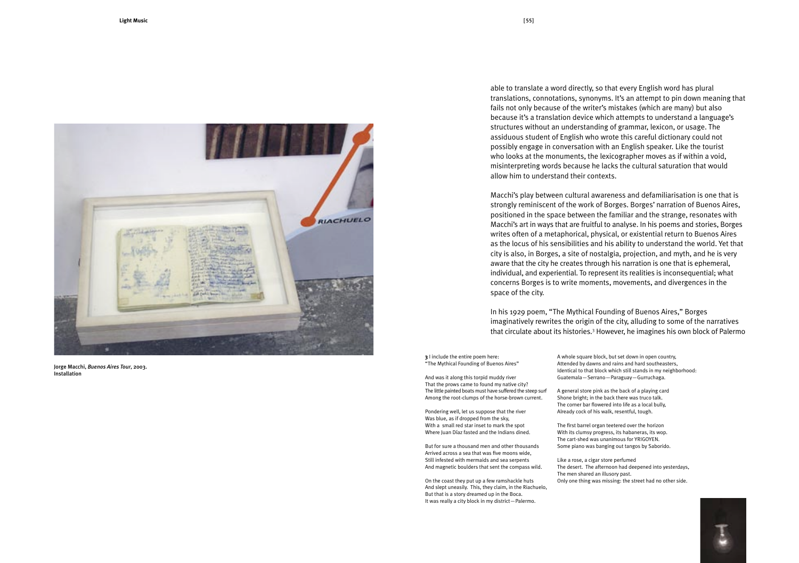

Jorge Macchi, Buenos Aires Tour, 2003. Installation

able to translate a word directly, so that every English word has plural translations, connotations, synonyms. It's an attempt to pin down meaning that fails not only because of the writer's mistakes (which are many) but also because it's a translation device which attempts to understand a language's structures without an understanding of grammar, lexicon, or usage. The assiduous student of English who wrote this careful dictionary could not possibly engage in conversation with an English speaker. Like the tourist who looks at the monuments, the lexicographer moves as if within a void, misinterpreting words because he lacks the cultural saturation that would allow him to understand their contexts.

Macchi's play between cultural awareness and defamiliarisation is one that is strongly reminiscent of the work of Borges. Borges' narration of Buenos Aires, positioned in the space between the familiar and the strange, resonates with Macchi's art in ways that are fruitful to analyse. In his poems and stories, Borges writes often of a metaphorical, physical, or existential return to Buenos Aires as the locus of his sensibilities and his ability to understand the world. Yet that city is also, in Borges, a site of nostalgia, projection, and myth, and he is very aware that the city he creates through his narration is one that is ephemeral, individual, and experiential. To represent its realities is inconsequential; what concerns Borges is to write moments, movements, and divergences in the space of the city.

In his 1929 poem, "The Mythical Founding of Buenos Aires," Borges imaginatively rewrites the origin of the city, alluding to some of the narratives that circulate about its histories.<sup>3</sup> However, he imagines his own block of Palermo

3 l include the entire poem here: "The Mythical Founding of Buenos Aires"

And was it along this torpid muddy river That the prows came to found my native city? The little painted boats must have suffered the steep surf Among the root-clumps of the horse-brown current.

Pondering well, let us suppose that the river Was blue, as if dropped from the sky. With a small red star inset to mark the spot Where Juan Díaz fasted and the Indians dined.

But for sure a thousand men and other thousands Arrived across a sea that was five moons wide, Still infested with mermaids and sea serpents And magnetic boulders that sent the compass wild.

On the coast they put up a few ramshackle huts And slept uneasily. This, they claim, in the Riachuelo, But that is a story dreamed up in the Boca. It was really a city block in my district-Palermo.

A whole square block, but set down in open country, Attended by dawns and rains and hard southeasters, Identical to that block which still stands in my neighborhood: Guatemala-Serrano-Paraguay-Gurruchaga.

A general store pink as the back of a playing card Shone bright; in the back there was truco talk. The corner bar flowered into life as a local bully, Already cock of his walk, resentful, tough.

The first barrel organ teetered over the horizon With its clumsy progress, its habaneras, its wop. The cart-shed was unanimous for YRIGOYEN. Some piano was banging out tangos by Saborido.

Like a rose, a cigar store perfumed The desert. The afternoon had deepened into yesterdays, The men shared an illusory past. Only one thing was missing: the street had no other side.

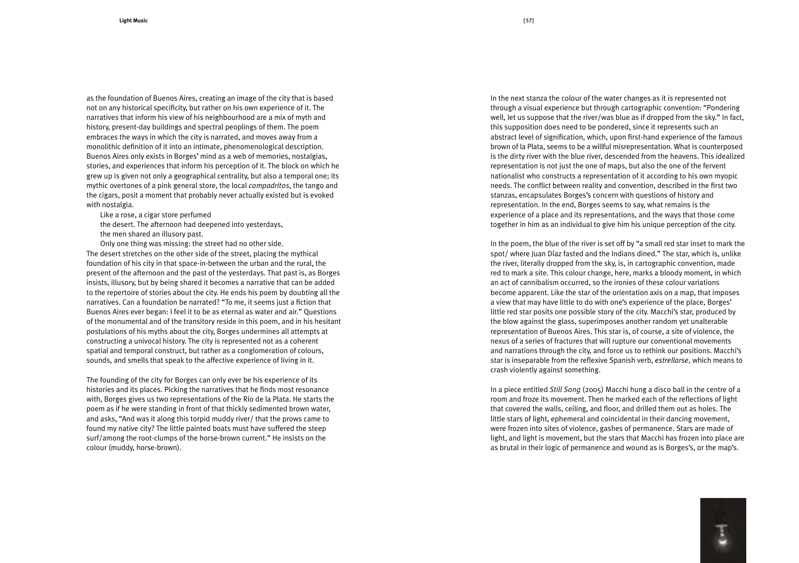as the foundation of Buenos Aires, creating an image of the city that is based not on any historical specificity, but rather on his own experience of it. The narratives that inform his view of his neighbourhood are a mix of myth and history, present-day buildings and spectral peoplings of them. The poem embraces the ways in which the city is narrated, and moves away from a monolithic definition of it into an intimate, phenomenological description. Buenos Aires only exists in Borges' mind as a web of memories, nostalgias, stories, and experiences that inform his perception of it. The block on which he grew up is given not only a geographical centrality, but also a temporal one; its mythic overtones of a pink general store, the local *compadritos*, the tango and the cigars, posit a moment that probably never actually existed but is evoked with nostalgia.

Like a rose, a cigar store perfumed

the desert. The afternoon had deepened into yesterdays,

the men shared an illusory past.

Only one thing was missing: the street had no other side. The desert stretches on the other side of the street, placing the mythical foundation of his city in that space-in-between the urban and the rural, the present of the afternoon and the past of the yesterdays. That past is, as Borges insists, illusory, but by being shared it becomes a narrative that can be added to the repertoire of stories about the city. He ends his poem by doubting all the narratives. Can a foundation be narrated? "To me, it seems just a fiction that Buenos Aires ever began: I feel it to be as eternal as water and air." Questions of the monumental and of the transitory reside in this poem, and in his hesitant postulations of his myths about the city. Borges undermines all attempts at constructing a univocal history. The city is represented not as a coherent spatial and temporal construct, but rather as a conglomeration of colours, sounds, and smells that speak to the affective experience of living in it.

The founding of the city for Borges can only ever be his experience of its histories and its places. Picking the narratives that he finds most resonance with, Borges gives us two representations of the Río de la Plata. He starts the poem as if he were standing in front of that thickly sedimented brown water, and asks, "And was it along this torpid muddy river/ that the prows came to found my native city? The little painted boats must have suffered the steep surf/among the root-clumps of the horse-brown current." He insists on the colour (muddy, horse-brown).

In the next stanza the colour of the water changes as it is represented not through a visual experience but through cartographic convention: "Pondering well, let us suppose that the river/was blue as if dropped from the sky." In fact, this supposition does need to be pondered, since it represents such an abstract level of signification, which, upon first-hand experience of the famous brown of la Plata, seems to be a willful misrepresentation. What is counterposed is the dirty river with the blue river, descended from the heavens. This idealized representation is not just the one of maps, but also the one of the fervent nationalist who constructs a representation of it according to his own myopic needs. The conflict between reality and convention, described in the first two stanzas, encapsulates Borges's concern with questions of history and representation. In the end, Borges seems to say, what remains is the experience of a place and its representations, and the ways that those come together in him as an individual to give him his unique perception of the city.

In the poem, the blue of the river is set off by "a small red star inset to mark the spot/ where Juan Díaz fasted and the Indians dined." The star, which is, unlike the river, literally dropped from the sky, is, in cartographic convention, made red to mark a site. This colour change, here, marks a bloody moment, in which an act of cannibalism occurred, so the ironies of these colour variations become apparent. Like the star of the orientation axis on a map, that imposes a view that may have little to do with one's experience of the place, Borges' little red star posits one possible story of the city. Macchi's star, produced by the blow against the glass, superimposes another random yet unalterable representation of Buenos Aires. This star is, of course, a site of violence, the nexus of a series of fractures that will rupture our conventional movements and narrations through the city, and force us to rethink our positions. Macchi's star is inseparable from the reflexive Spanish verb, estrellarse, which means to crash violently against something.

In a piece entitled Still Song (2005) Macchi hung a disco ball in the centre of a room and froze its movement. Then he marked each of the reflections of light that covered the walls, ceiling, and floor, and drilled them out as holes. The little stars of light, ephemeral and coincidental in their dancing movement, were frozen into sites of violence, gashes of permanence. Stars are made of light, and light is movement, but the stars that Macchi has frozen into place are as brutal in their logic of permanence and wound as is Borges's, or the map's.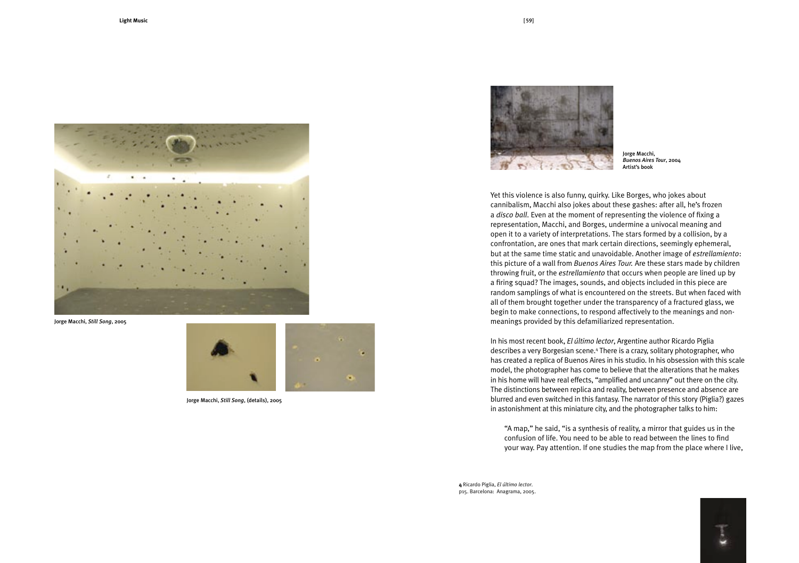

Jorge Macchi, Still Song, 2005



Jorge Macchi, Still Song, (details), 2005



Jorge Macchi, **Buenos Aires Tour, 2004** Artist's book

Yet this violence is also funny, quirky. Like Borges, who jokes about cannibalism, Macchi also jokes about these gashes: after all, he's frozen a disco ball. Even at the moment of representing the violence of fixing a representation, Macchi, and Borges, undermine a univocal meaning and open it to a variety of interpretations. The stars formed by a collision, by a confrontation, are ones that mark certain directions, seemingly ephemeral, but at the same time static and unavoidable. Another image of *estrellamiento*: this picture of a wall from Buenos Aires Tour. Are these stars made by children throwing fruit, or the estrellamiento that occurs when people are lined up by a firing squad? The images, sounds, and objects included in this piece are random samplings of what is encountered on the streets. But when faced with all of them brought together under the transparency of a fractured glass, we begin to make connections, to respond affectively to the meanings and nonmeanings provided by this defamiliarized representation.

In his most recent book, El último lector, Argentine author Ricardo Piglia describes a very Borgesian scene.<sup>4</sup> There is a crazy, solitary photographer, who has created a replica of Buenos Aires in his studio. In his obsession with this scale model, the photographer has come to believe that the alterations that he makes in his home will have real effects, "amplified and uncanny" out there on the city. The distinctions between replica and reality, between presence and absence are blurred and even switched in this fantasy. The narrator of this story (Piglia?) gazes in astonishment at this miniature city, and the photographer talks to him:

"A map," he said, "is a synthesis of reality, a mirror that guides us in the confusion of life. You need to be able to read between the lines to find your way. Pay attention. If one studies the map from the place where I live,

4 Ricardo Piglia, El último lector. p15. Barcelona: Anagrama, 2005.

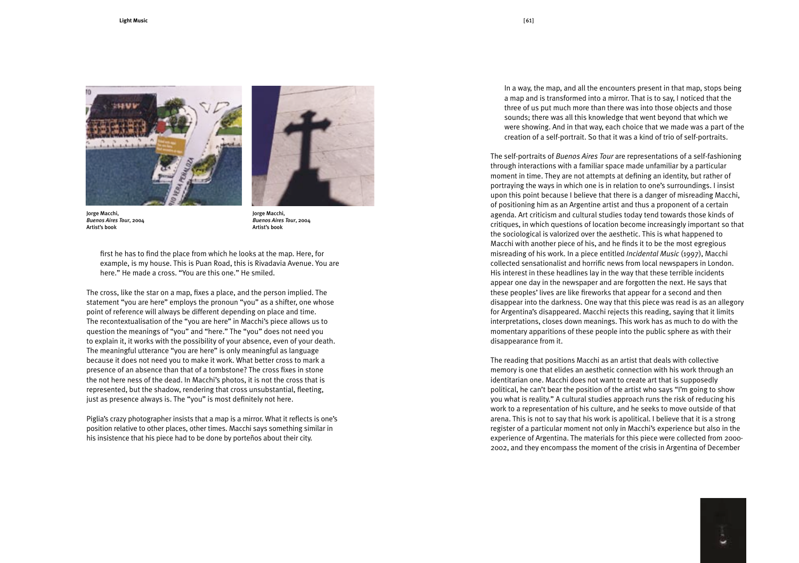



Jorge Macchi, Buenos Aires Tour, 2004 Artist's book

Jorge Macchi, Buenos Aires Tour, 2004 Artist's book

first he has to find the place from which he looks at the map. Here, for example, is my house. This is Puan Road, this is Rivadavia Avenue. You are here." He made a cross. "You are this one." He smiled.

The cross, like the star on a map, fixes a place, and the person implied. The statement "you are here" employs the pronoun "you" as a shifter, one whose point of reference will always be different depending on place and time. The recontextualisation of the "you are here" in Macchi's piece allows us to question the meanings of "you" and "here." The "you" does not need you to explain it, it works with the possibility of your absence, even of your death. The meaningful utterance "you are here" is only meaningful as language because it does not need you to make it work. What better cross to mark a presence of an absence than that of a tombstone? The cross fixes in stone the not here ness of the dead. In Macchi's photos, it is not the cross that is represented, but the shadow, rendering that cross unsubstantial, fleeting, just as presence always is. The "you" is most definitely not here.

Piglia's crazy photographer insists that a map is a mirror. What it reflects is one's position relative to other places, other times. Macchi says something similar in his insistence that his piece had to be done by porteños about their city.

In a way, the map, and all the encounters present in that map, stops being a map and is transformed into a mirror. That is to say, I noticed that the three of us put much more than there was into those objects and those sounds; there was all this knowledge that went beyond that which we were showing. And in that way, each choice that we made was a part of the creation of a self-portrait. So that it was a kind of trio of self-portraits.

The self-portraits of Buenos Aires Tour are representations of a self-fashioning through interactions with a familiar space made unfamiliar by a particular moment in time. They are not attempts at defining an identity, but rather of portraving the ways in which one is in relation to one's surroundings. I insist upon this point because I believe that there is a danger of misreading Macchi, of positioning him as an Argentine artist and thus a proponent of a certain agenda. Art criticism and cultural studies today tend towards those kinds of critiques, in which questions of location become increasingly important so that the sociological is valorized over the aesthetic. This is what happened to Macchi with another piece of his, and he finds it to be the most egregious misreading of his work. In a piece entitled *Incidental Music* (1997), Macchi collected sensationalist and horrific news from local newspapers in London. His interest in these headlines lay in the way that these terrible incidents appear one day in the newspaper and are forgotten the next. He says that these peoples' lives are like fireworks that appear for a second and then disappear into the darkness. One way that this piece was read is as an allegory for Argentina's disappeared. Macchi rejects this reading, saying that it limits interpretations, closes down meanings. This work has as much to do with the momentary apparitions of these people into the public sphere as with their disappearance from it.

The reading that positions Macchi as an artist that deals with collective memory is one that elides an aesthetic connection with his work through an identitarian one. Macchi does not want to create art that is supposedly political, he can't bear the position of the artist who says "I'm going to show you what is reality." A cultural studies approach runs the risk of reducing his work to a representation of his culture, and he seeks to move outside of that arena. This is not to say that his work is apolitical. I believe that it is a strong register of a particular moment not only in Macchi's experience but also in the experience of Argentina. The materials for this piece were collected from 2000-2002, and they encompass the moment of the crisis in Argentina of December